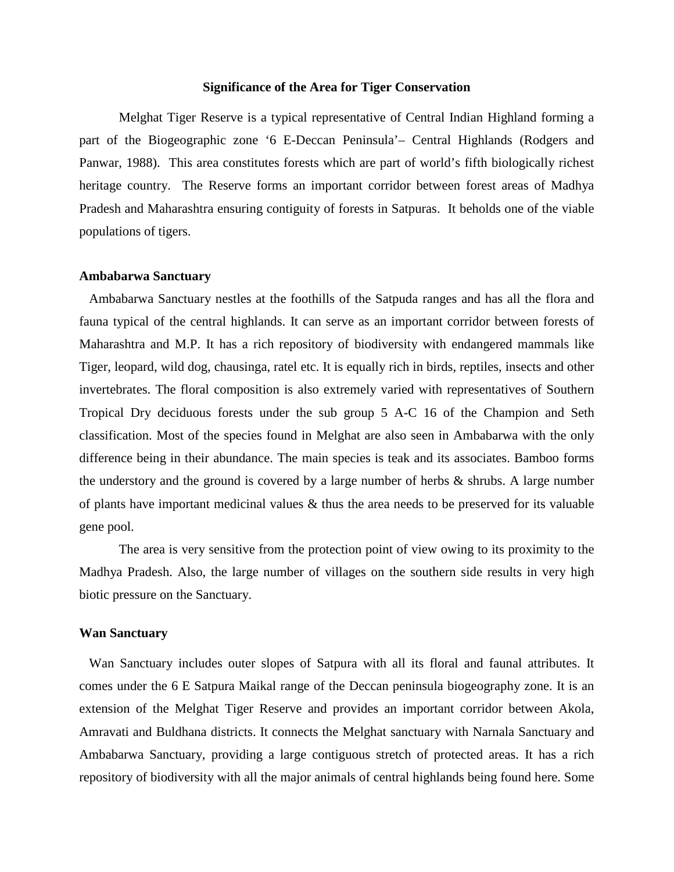### **Significance of the Area for Tiger Conservation**

Melghat Tiger Reserve is a typical representative of Central Indian Highland forming a part of the Biogeographic zone '6 E-Deccan Peninsula'– Central Highlands (Rodgers and Panwar, 1988). This area constitutes forests which are part of world's fifth biologically richest heritage country. The Reserve forms an important corridor between forest areas of Madhya Pradesh and Maharashtra ensuring contiguity of forests in Satpuras. It beholds one of the viable populations of tigers.

#### **Ambabarwa Sanctuary**

Ambabarwa Sanctuary nestles at the foothills of the Satpuda ranges and has all the flora and fauna typical of the central highlands. It can serve as an important corridor between forests of Maharashtra and M.P. It has a rich repository of biodiversity with endangered mammals like Tiger, leopard, wild dog, chausinga, ratel etc. It is equally rich in birds, reptiles, insects and other invertebrates. The floral composition is also extremely varied with representatives of Southern Tropical Dry deciduous forests under the sub group 5 A-C 16 of the Champion and Seth classification. Most of the species found in Melghat are also seen in Ambabarwa with the only difference being in their abundance. The main species is teak and its associates. Bamboo forms the understory and the ground is covered by a large number of herbs & shrubs. A large number of plants have important medicinal values & thus the area needs to be preserved for its valuable gene pool.

The area is very sensitive from the protection point of view owing to its proximity to the Madhya Pradesh. Also, the large number of villages on the southern side results in very high biotic pressure on the Sanctuary.

#### **Wan Sanctuary**

Wan Sanctuary includes outer slopes of Satpura with all its floral and faunal attributes. It comes under the 6 E Satpura Maikal range of the Deccan peninsula biogeography zone. It is an extension of the Melghat Tiger Reserve and provides an important corridor between Akola, Amravati and Buldhana districts. It connects the Melghat sanctuary with Narnala Sanctuary and Ambabarwa Sanctuary, providing a large contiguous stretch of protected areas. It has a rich repository of biodiversity with all the major animals of central highlands being found here. Some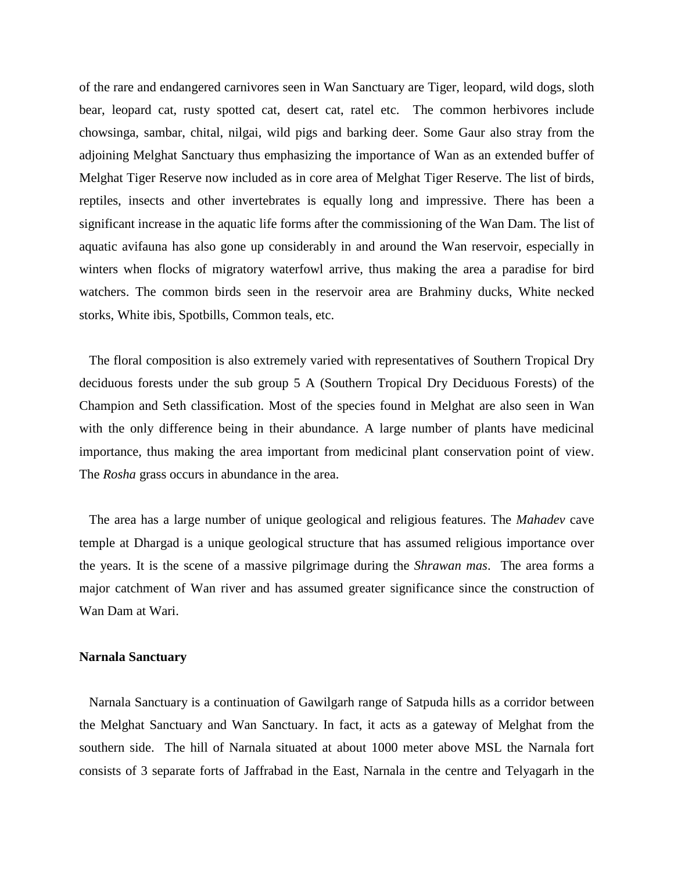of the rare and endangered carnivores seen in Wan Sanctuary are Tiger, leopard, wild dogs, sloth bear, leopard cat, rusty spotted cat, desert cat, ratel etc. The common herbivores include chowsinga, sambar, chital, nilgai, wild pigs and barking deer. Some Gaur also stray from the adjoining Melghat Sanctuary thus emphasizing the importance of Wan as an extended buffer of Melghat Tiger Reserve now included as in core area of Melghat Tiger Reserve. The list of birds, reptiles, insects and other invertebrates is equally long and impressive. There has been a significant increase in the aquatic life forms after the commissioning of the Wan Dam. The list of aquatic avifauna has also gone up considerably in and around the Wan reservoir, especially in winters when flocks of migratory waterfowl arrive, thus making the area a paradise for bird watchers. The common birds seen in the reservoir area are Brahminy ducks, White necked storks, White ibis, Spotbills, Common teals, etc.

The floral composition is also extremely varied with representatives of Southern Tropical Dry deciduous forests under the sub group 5 A (Southern Tropical Dry Deciduous Forests) of the Champion and Seth classification. Most of the species found in Melghat are also seen in Wan with the only difference being in their abundance. A large number of plants have medicinal importance, thus making the area important from medicinal plant conservation point of view. The *Rosha* grass occurs in abundance in the area.

The area has a large number of unique geological and religious features. The *Mahadev* cave temple at Dhargad is a unique geological structure that has assumed religious importance over the years. It is the scene of a massive pilgrimage during the *Shrawan mas*. The area forms a major catchment of Wan river and has assumed greater significance since the construction of Wan Dam at Wari.

#### **Narnala Sanctuary**

Narnala Sanctuary is a continuation of Gawilgarh range of Satpuda hills as a corridor between the Melghat Sanctuary and Wan Sanctuary. In fact, it acts as a gateway of Melghat from the southern side. The hill of Narnala situated at about 1000 meter above MSL the Narnala fort consists of 3 separate forts of Jaffrabad in the East, Narnala in the centre and Telyagarh in the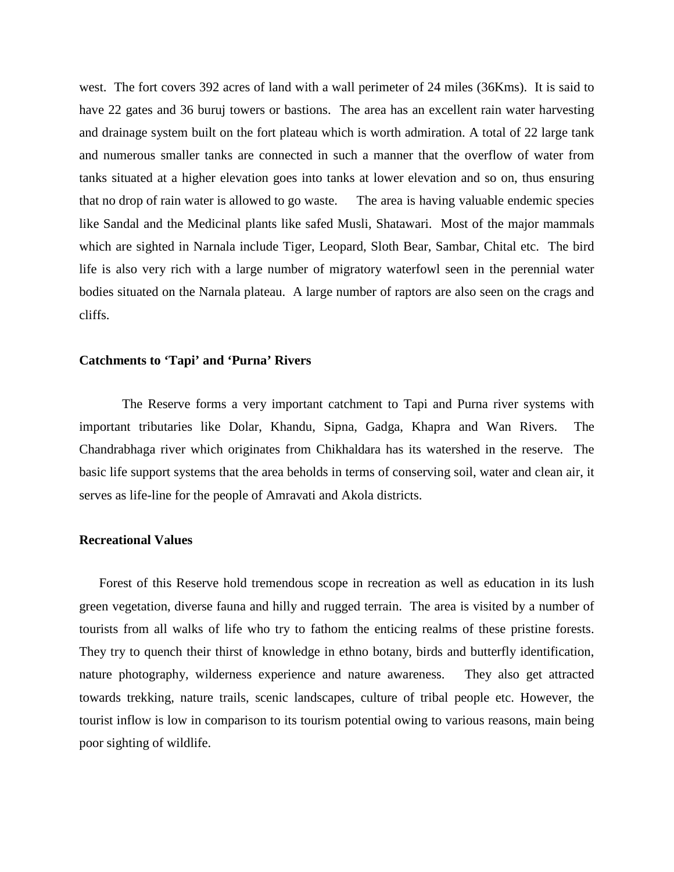west. The fort covers 392 acres of land with a wall perimeter of 24 miles (36Kms). It is said to have 22 gates and 36 buruj towers or bastions. The area has an excellent rain water harvesting and drainage system built on the fort plateau which is worth admiration. A total of 22 large tank and numerous smaller tanks are connected in such a manner that the overflow of water from tanks situated at a higher elevation goes into tanks at lower elevation and so on, thus ensuring that no drop of rain water is allowed to go waste. The area is having valuable endemic species like Sandal and the Medicinal plants like safed Musli, Shatawari. Most of the major mammals which are sighted in Narnala include Tiger, Leopard, Sloth Bear, Sambar, Chital etc. The bird life is also very rich with a large number of migratory waterfowl seen in the perennial water bodies situated on the Narnala plateau. A large number of raptors are also seen on the crags and cliffs.

# **Catchments to 'Tapi' and 'Purna' Rivers**

The Reserve forms a very important catchment to Tapi and Purna river systems with important tributaries like Dolar, Khandu, Sipna, Gadga, Khapra and Wan Rivers. The Chandrabhaga river which originates from Chikhaldara has its watershed in the reserve. The basic life support systems that the area beholds in terms of conserving soil, water and clean air, it serves as life-line for the people of Amravati and Akola districts.

# **Recreational Values**

Forest of this Reserve hold tremendous scope in recreation as well as education in its lush green vegetation, diverse fauna and hilly and rugged terrain. The area is visited by a number of tourists from all walks of life who try to fathom the enticing realms of these pristine forests. They try to quench their thirst of knowledge in ethno botany, birds and butterfly identification, nature photography, wilderness experience and nature awareness. They also get attracted towards trekking, nature trails, scenic landscapes, culture of tribal people etc. However, the tourist inflow is low in comparison to its tourism potential owing to various reasons, main being poor sighting of wildlife.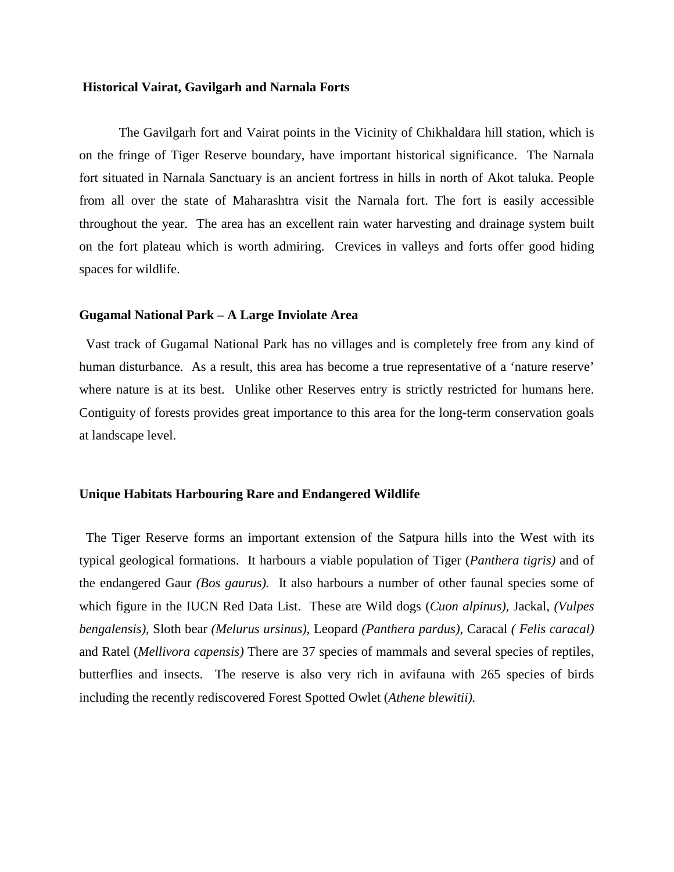# **Historical Vairat, Gavilgarh and Narnala Forts**

The Gavilgarh fort and Vairat points in the Vicinity of Chikhaldara hill station, which is on the fringe of Tiger Reserve boundary, have important historical significance. The Narnala fort situated in Narnala Sanctuary is an ancient fortress in hills in north of Akot taluka. People from all over the state of Maharashtra visit the Narnala fort. The fort is easily accessible throughout the year. The area has an excellent rain water harvesting and drainage system built on the fort plateau which is worth admiring. Crevices in valleys and forts offer good hiding spaces for wildlife.

### **Gugamal National Park – A Large Inviolate Area**

Vast track of Gugamal National Park has no villages and is completely free from any kind of human disturbance. As a result, this area has become a true representative of a 'nature reserve' where nature is at its best. Unlike other Reserves entry is strictly restricted for humans here. Contiguity of forests provides great importance to this area for the long-term conservation goals at landscape level.

# **Unique Habitats Harbouring Rare and Endangered Wildlife**

The Tiger Reserve forms an important extension of the Satpura hills into the West with its typical geological formations. It harbours a viable population of Tiger (*Panthera tigris)* and of the endangered Gaur *(Bos gaurus).* It also harbours a number of other faunal species some of which figure in the IUCN Red Data List. These are Wild dogs (*Cuon alpinus),* Jackal*, (Vulpes bengalensis),* Sloth bear *(Melurus ursinus),* Leopard *(Panthera pardus),* Caracal *( Felis caracal)*  and Ratel (*Mellivora capensis)* There are 37 species of mammals and several species of reptiles, butterflies and insects. The reserve is also very rich in avifauna with 265 species of birds including the recently rediscovered Forest Spotted Owlet (*Athene blewitii).*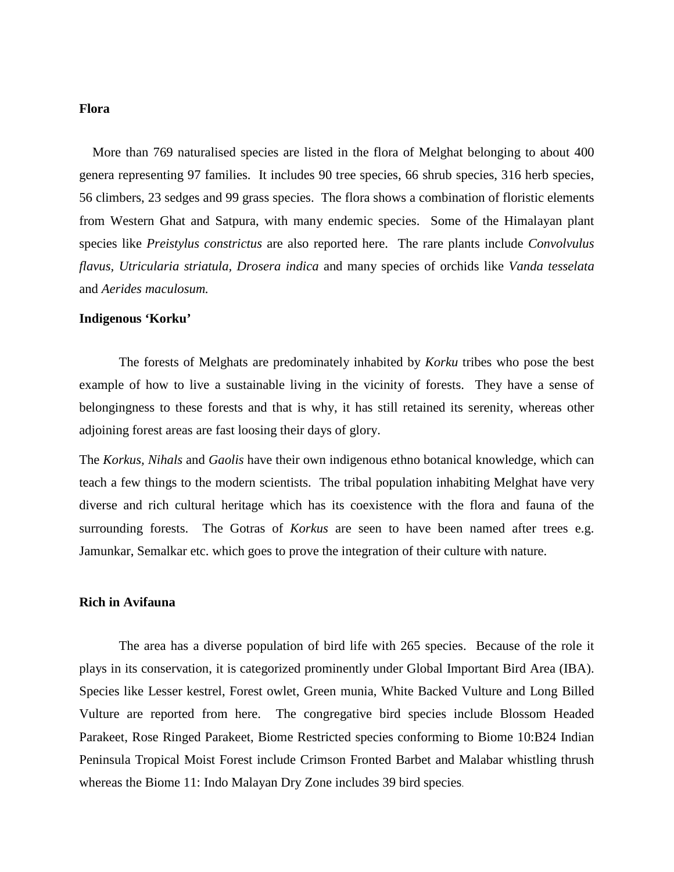# **Flora**

 More than 769 naturalised species are listed in the flora of Melghat belonging to about 400 genera representing 97 families. It includes 90 tree species, 66 shrub species, 316 herb species, 56 climbers, 23 sedges and 99 grass species. The flora shows a combination of floristic elements from Western Ghat and Satpura, with many endemic species. Some of the Himalayan plant species like *Preistylus constrictus* are also reported here. The rare plants include *Convolvulus flavus, Utricularia striatula, Drosera indica* and many species of orchids like *Vanda tesselata*  and *Aerides maculosum.*

### **Indigenous 'Korku'**

 The forests of Melghats are predominately inhabited by *Korku* tribes who pose the best example of how to live a sustainable living in the vicinity of forests. They have a sense of belongingness to these forests and that is why, it has still retained its serenity, whereas other adjoining forest areas are fast loosing their days of glory.

The *Korkus, Nihals* and *Gaolis* have their own indigenous ethno botanical knowledge, which can teach a few things to the modern scientists. The tribal population inhabiting Melghat have very diverse and rich cultural heritage which has its coexistence with the flora and fauna of the surrounding forests. The Gotras of *Korkus* are seen to have been named after trees e.g. Jamunkar, Semalkar etc. which goes to prove the integration of their culture with nature.

# **Rich in Avifauna**

 The area has a diverse population of bird life with 265 species. Because of the role it plays in its conservation, it is categorized prominently under Global Important Bird Area (IBA). Species like Lesser kestrel, Forest owlet, Green munia, White Backed Vulture and Long Billed Vulture are reported from here. The congregative bird species include Blossom Headed Parakeet, Rose Ringed Parakeet, Biome Restricted species conforming to Biome 10:B24 Indian Peninsula Tropical Moist Forest include Crimson Fronted Barbet and Malabar whistling thrush whereas the Biome 11: Indo Malayan Dry Zone includes 39 bird species.